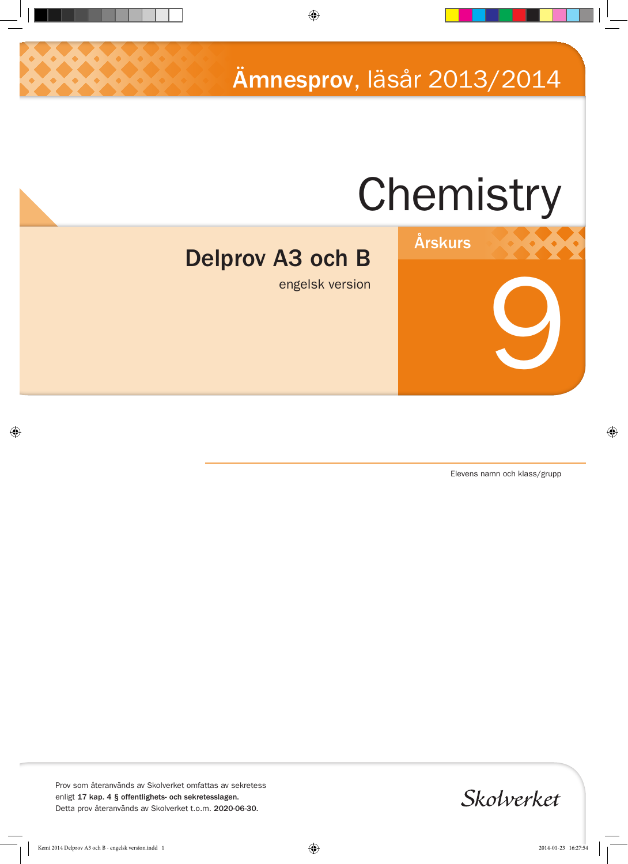Ämnesprov, läsår 2013/2014

# Chemistry

Årskurs

# Delprov A3 och B

engelsk version

Elevens namn och klass/grupp

9

Prov som återanvänds av Skolverket omfattas av sekretess enligt 17 kap. 4 § offentlighets- och sekretesslagen. Detta prov återanvänds av Skolverket t.o.m. 2020-06-30.

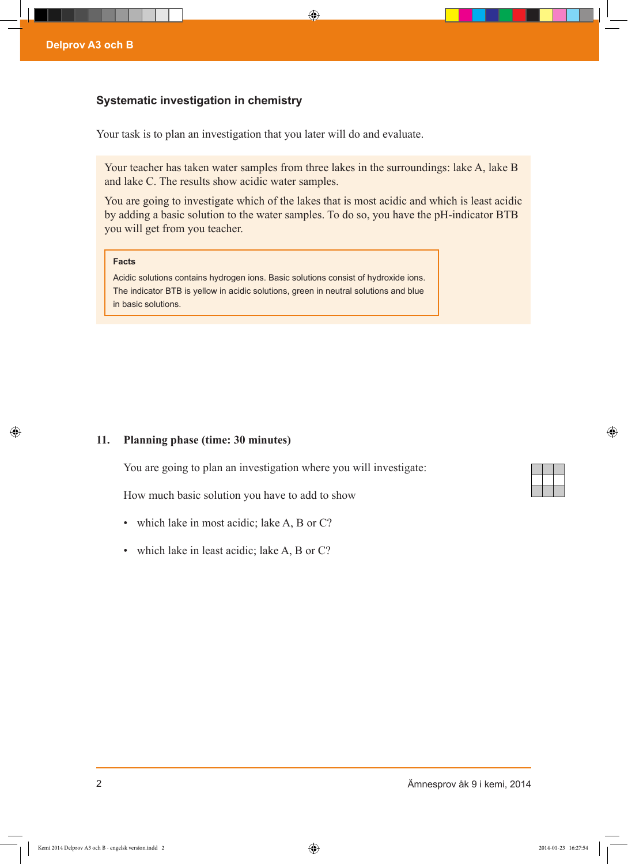## **Systematic investigation in chemistry**

Your task is to plan an investigation that you later will do and evaluate.

Your teacher has taken water samples from three lakes in the surroundings: lake A, lake B and lake C. The results show acidic water samples.

You are going to investigate which of the lakes that is most acidic and which is least acidic by adding a basic solution to the water samples. To do so, you have the pH-indicator BTB you will get from you teacher.

#### **Facts**

Acidic solutions contains hydrogen ions. Basic solutions consist of hydroxide ions. The indicator BTB is yellow in acidic solutions, green in neutral solutions and blue in basic solutions.

# **11. Planning phase (time: 30 minutes)**

You are going to plan an investigation where you will investigate:

How much basic solution you have to add to show

- which lake in most acidic; lake A, B or C?
- which lake in least acidic; lake A, B or C?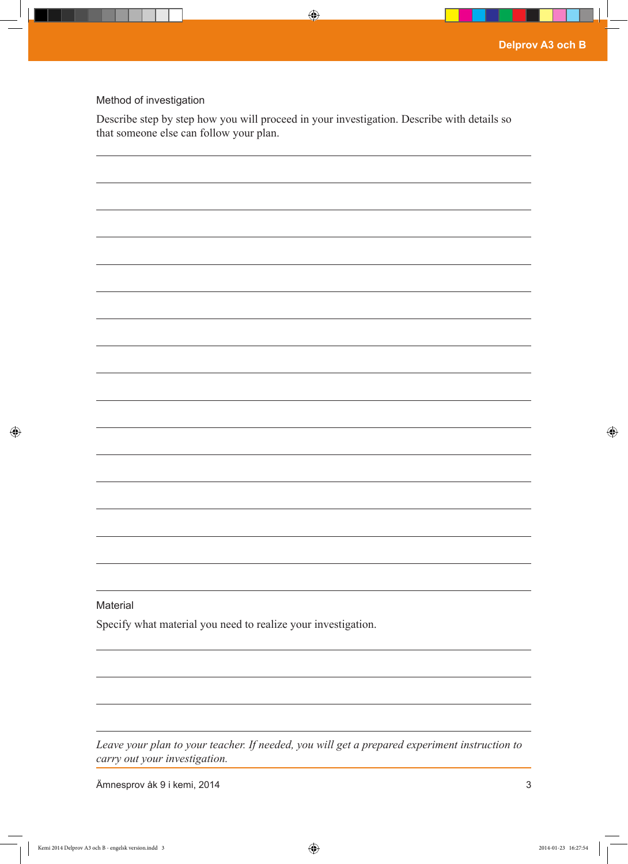# Method of investigation

Describe step by step how you will proceed in your investigation. Describe with details so that someone else can follow your plan.

| Material                                                      |  |
|---------------------------------------------------------------|--|
| Specify what material you need to realize your investigation. |  |
|                                                               |  |
|                                                               |  |

*Leave your plan to your teacher. If needed, you will get a prepared experiment instruction to carry out your investigation.*

Ämnesprov åk 9 i kemi, 2014 3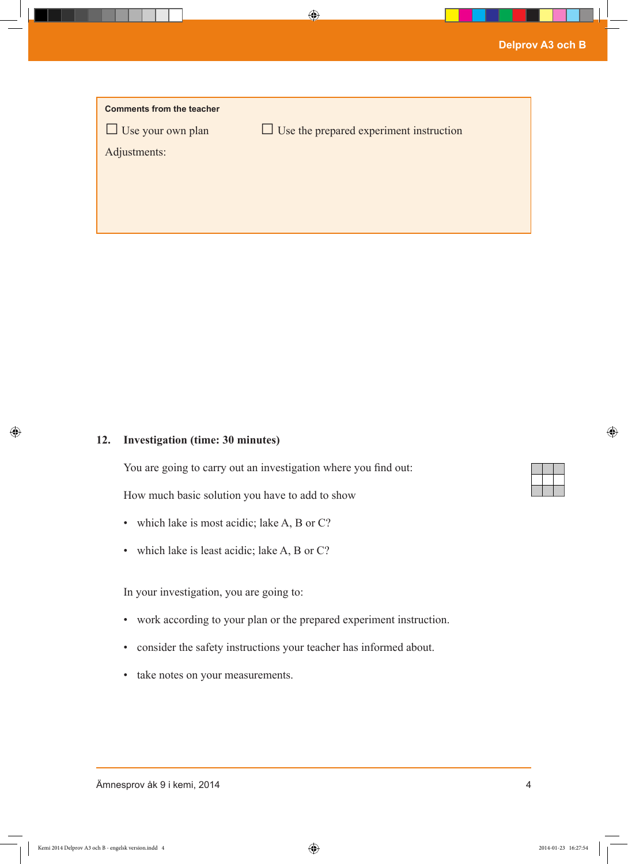| <b>Comments from the teacher</b> |                                                |
|----------------------------------|------------------------------------------------|
| $\Box$ Use your own plan         | $\Box$ Use the prepared experiment instruction |
| Adjustments:                     |                                                |
|                                  |                                                |
|                                  |                                                |
|                                  |                                                |

## **12. Investigation (time: 30 minutes)**

You are going to carry out an investigation where you find out:

How much basic solution you have to add to show

- which lake is most acidic; lake A, B or C?
- which lake is least acidic; lake A, B or C?

In your investigation, you are going to:

- • work according to your plan or the prepared experiment instruction.
- • consider the safety instructions your teacher has informed about.
- • take notes on your measurements.